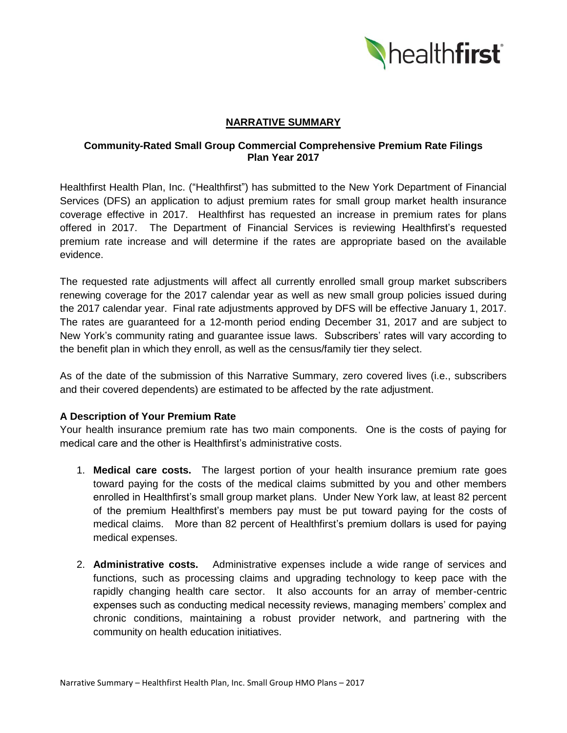

# **NARRATIVE SUMMARY**

# **Community-Rated Small Group Commercial Comprehensive Premium Rate Filings Plan Year 2017**

Healthfirst Health Plan, Inc. ("Healthfirst") has submitted to the New York Department of Financial Services (DFS) an application to adjust premium rates for small group market health insurance coverage effective in 2017. Healthfirst has requested an increase in premium rates for plans offered in 2017. The Department of Financial Services is reviewing Healthfirst's requested premium rate increase and will determine if the rates are appropriate based on the available evidence.

The requested rate adjustments will affect all currently enrolled small group market subscribers renewing coverage for the 2017 calendar year as well as new small group policies issued during the 2017 calendar year. Final rate adjustments approved by DFS will be effective January 1, 2017. The rates are guaranteed for a 12-month period ending December 31, 2017 and are subject to New York's community rating and guarantee issue laws. Subscribers' rates will vary according to the benefit plan in which they enroll, as well as the census/family tier they select.

As of the date of the submission of this Narrative Summary, zero covered lives (i.e., subscribers and their covered dependents) are estimated to be affected by the rate adjustment.

# **A Description of Your Premium Rate**

Your health insurance premium rate has two main components. One is the costs of paying for medical care and the other is Healthfirst's administrative costs.

- 1. **Medical care costs.** The largest portion of your health insurance premium rate goes toward paying for the costs of the medical claims submitted by you and other members enrolled in Healthfirst's small group market plans. Under New York law, at least 82 percent of the premium Healthfirst's members pay must be put toward paying for the costs of medical claims. More than 82 percent of Healthfirst's premium dollars is used for paying medical expenses.
- 2. **Administrative costs.** Administrative expenses include a wide range of services and functions, such as processing claims and upgrading technology to keep pace with the rapidly changing health care sector. It also accounts for an array of member-centric expenses such as conducting medical necessity reviews, managing members' complex and chronic conditions, maintaining a robust provider network, and partnering with the community on health education initiatives.